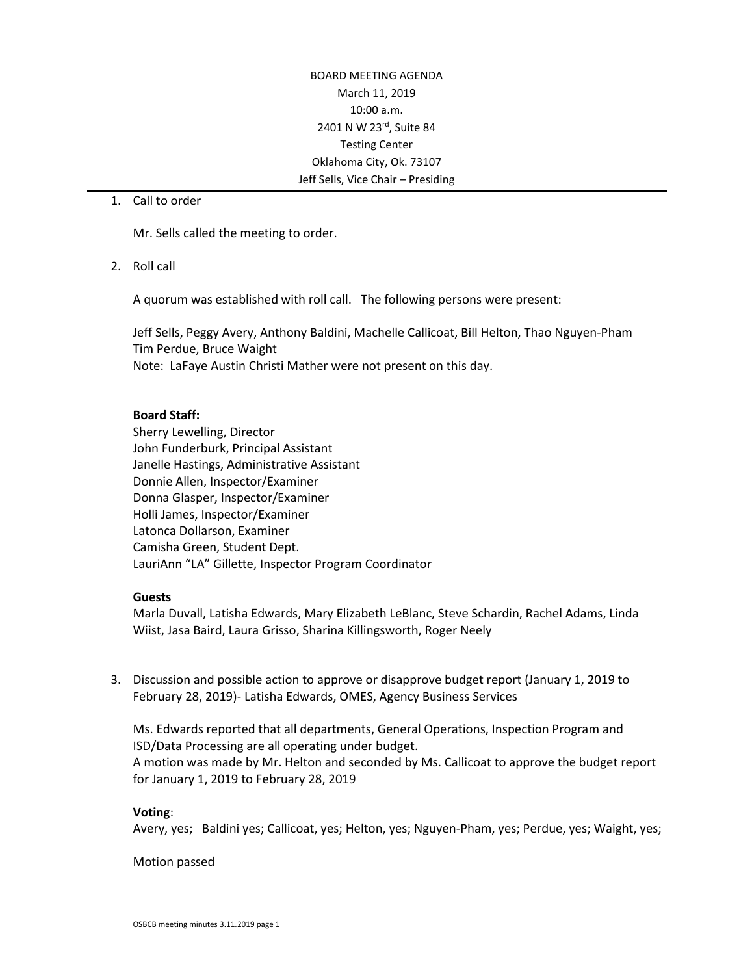BOARD MEETING AGENDA March 11, 2019 10:00 a.m. 2401 N W 23rd, Suite 84 Testing Center Oklahoma City, Ok. 73107 Jeff Sells, Vice Chair – Presiding

1. Call to order

Mr. Sells called the meeting to order.

2. Roll call

A quorum was established with roll call. The following persons were present:

Jeff Sells, Peggy Avery, Anthony Baldini, Machelle Callicoat, Bill Helton, Thao Nguyen-Pham Tim Perdue, Bruce Waight Note: LaFaye Austin Christi Mather were not present on this day.

#### **Board Staff:**

Sherry Lewelling, Director John Funderburk, Principal Assistant Janelle Hastings, Administrative Assistant Donnie Allen, Inspector/Examiner Donna Glasper, Inspector/Examiner Holli James, Inspector/Examiner Latonca Dollarson, Examiner Camisha Green, Student Dept. LauriAnn "LA" Gillette, Inspector Program Coordinator

#### **Guests**

Marla Duvall, Latisha Edwards, Mary Elizabeth LeBlanc, Steve Schardin, Rachel Adams, Linda Wiist, Jasa Baird, Laura Grisso, Sharina Killingsworth, Roger Neely

3. Discussion and possible action to approve or disapprove budget report (January 1, 2019 to February 28, 2019)- Latisha Edwards, OMES, Agency Business Services

Ms. Edwards reported that all departments, General Operations, Inspection Program and ISD/Data Processing are all operating under budget. A motion was made by Mr. Helton and seconded by Ms. Callicoat to approve the budget report for January 1, 2019 to February 28, 2019

## **Voting**:

Avery, yes; Baldini yes; Callicoat, yes; Helton, yes; Nguyen-Pham, yes; Perdue, yes; Waight, yes;

#### Motion passed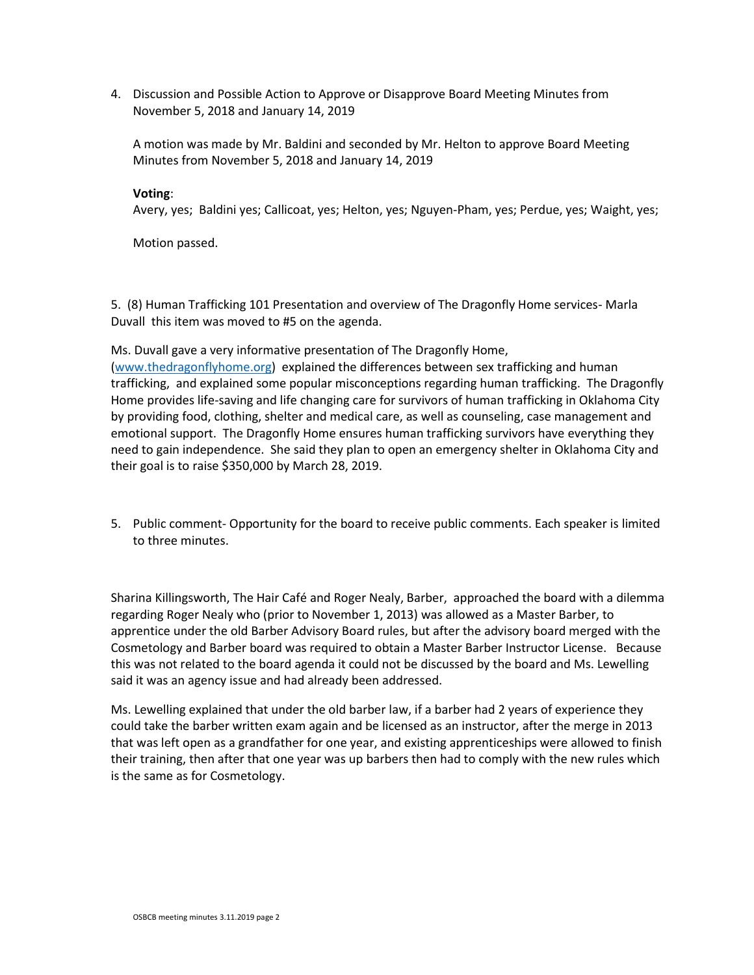4. Discussion and Possible Action to Approve or Disapprove Board Meeting Minutes from November 5, 2018 and January 14, 2019

A motion was made by Mr. Baldini and seconded by Mr. Helton to approve Board Meeting Minutes from November 5, 2018 and January 14, 2019

## **Voting**:

Avery, yes; Baldini yes; Callicoat, yes; Helton, yes; Nguyen-Pham, yes; Perdue, yes; Waight, yes;

Motion passed.

5. (8) Human Trafficking 101 Presentation and overview of The Dragonfly Home services- Marla Duvall this item was moved to #5 on the agenda.

Ms. Duvall gave a very informative presentation of The Dragonfly Home,

[\(www.thedragonflyhome.org\)](http://www.thedragonflyhome.org/) explained the differences between sex trafficking and human trafficking, and explained some popular misconceptions regarding human trafficking. The Dragonfly Home provides life-saving and life changing care for survivors of human trafficking in Oklahoma City by providing food, clothing, shelter and medical care, as well as counseling, case management and emotional support. The Dragonfly Home ensures human trafficking survivors have everything they need to gain independence. She said they plan to open an emergency shelter in Oklahoma City and their goal is to raise \$350,000 by March 28, 2019.

5. Public comment- Opportunity for the board to receive public comments. Each speaker is limited to three minutes.

Sharina Killingsworth, The Hair Café and Roger Nealy, Barber, approached the board with a dilemma regarding Roger Nealy who (prior to November 1, 2013) was allowed as a Master Barber, to apprentice under the old Barber Advisory Board rules, but after the advisory board merged with the Cosmetology and Barber board was required to obtain a Master Barber Instructor License. Because this was not related to the board agenda it could not be discussed by the board and Ms. Lewelling said it was an agency issue and had already been addressed.

Ms. Lewelling explained that under the old barber law, if a barber had 2 years of experience they could take the barber written exam again and be licensed as an instructor, after the merge in 2013 that was left open as a grandfather for one year, and existing apprenticeships were allowed to finish their training, then after that one year was up barbers then had to comply with the new rules which is the same as for Cosmetology.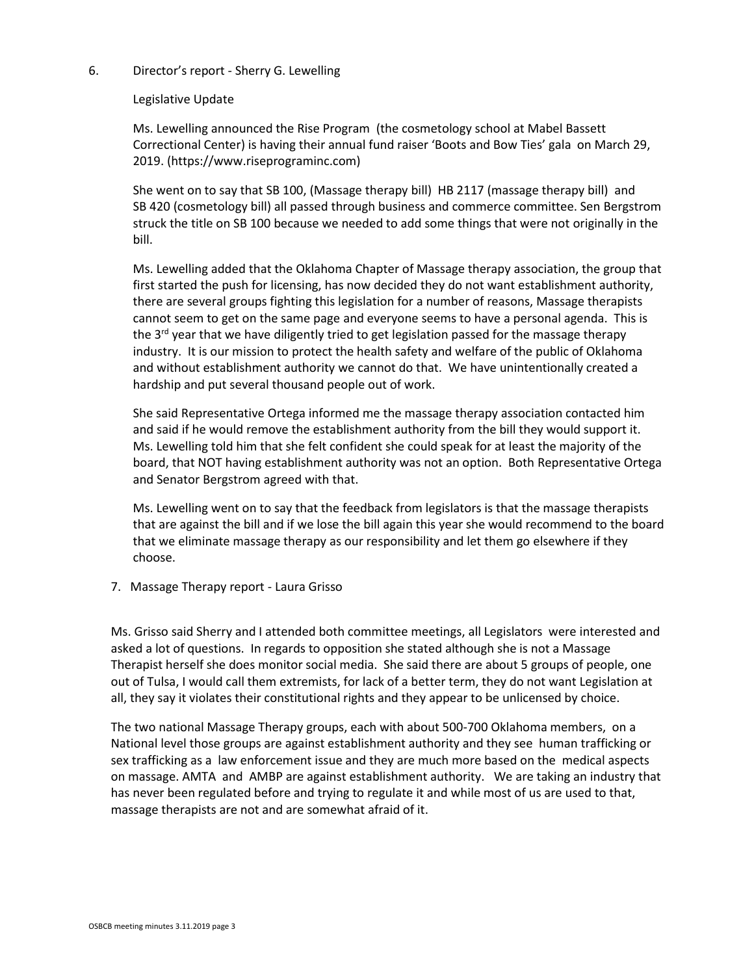## 6. Director's report - Sherry G. Lewelling

## Legislative Update

Ms. Lewelling announced the Rise Program (the cosmetology school at Mabel Bassett Correctional Center) is having their annual fund raiser 'Boots and Bow Ties' gala on March 29, 2019. (https://www.riseprograminc.com)

She went on to say that SB 100, (Massage therapy bill) HB 2117 (massage therapy bill) and SB 420 (cosmetology bill) all passed through business and commerce committee. Sen Bergstrom struck the title on SB 100 because we needed to add some things that were not originally in the bill.

Ms. Lewelling added that the Oklahoma Chapter of Massage therapy association, the group that first started the push for licensing, has now decided they do not want establishment authority, there are several groups fighting this legislation for a number of reasons, Massage therapists cannot seem to get on the same page and everyone seems to have a personal agenda. This is the 3<sup>rd</sup> year that we have diligently tried to get legislation passed for the massage therapy industry. It is our mission to protect the health safety and welfare of the public of Oklahoma and without establishment authority we cannot do that. We have unintentionally created a hardship and put several thousand people out of work.

She said Representative Ortega informed me the massage therapy association contacted him and said if he would remove the establishment authority from the bill they would support it. Ms. Lewelling told him that she felt confident she could speak for at least the majority of the board, that NOT having establishment authority was not an option. Both Representative Ortega and Senator Bergstrom agreed with that.

Ms. Lewelling went on to say that the feedback from legislators is that the massage therapists that are against the bill and if we lose the bill again this year she would recommend to the board that we eliminate massage therapy as our responsibility and let them go elsewhere if they choose.

7. Massage Therapy report - Laura Grisso

Ms. Grisso said Sherry and I attended both committee meetings, all Legislators were interested and asked a lot of questions. In regards to opposition she stated although she is not a Massage Therapist herself she does monitor social media. She said there are about 5 groups of people, one out of Tulsa, I would call them extremists, for lack of a better term, they do not want Legislation at all, they say it violates their constitutional rights and they appear to be unlicensed by choice.

The two national Massage Therapy groups, each with about 500-700 Oklahoma members, on a National level those groups are against establishment authority and they see human trafficking or sex trafficking as a law enforcement issue and they are much more based on the medical aspects on massage. AMTA and AMBP are against establishment authority. We are taking an industry that has never been regulated before and trying to regulate it and while most of us are used to that, massage therapists are not and are somewhat afraid of it.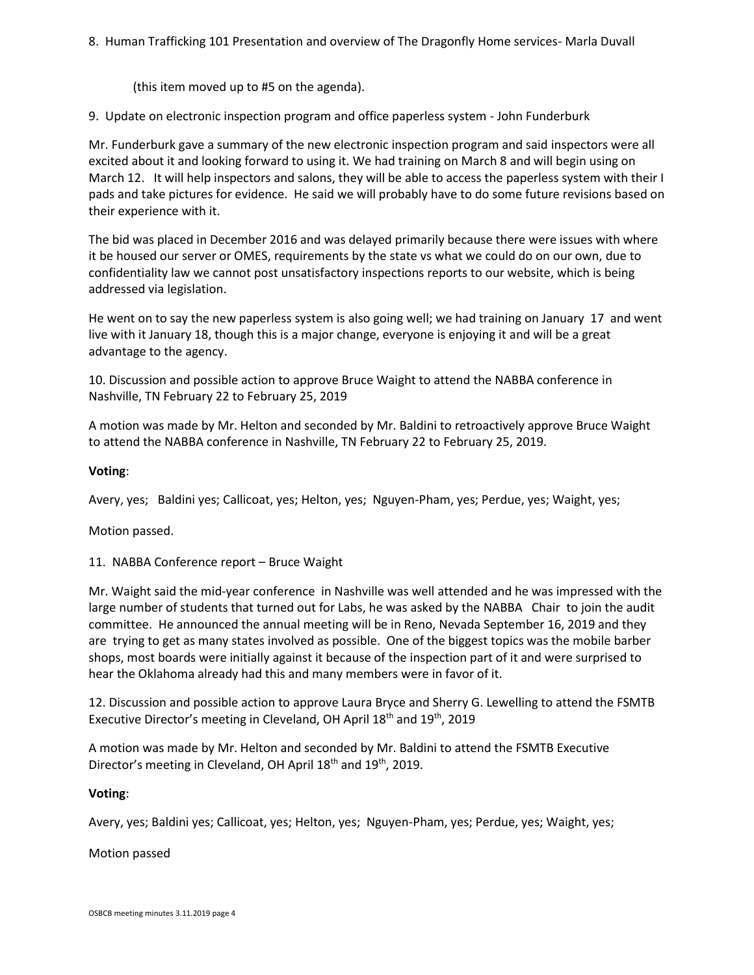# 8. Human Trafficking 101 Presentation and overview of The Dragonfly Home services- Marla Duvall

(this item moved up to #5 on the agenda).

9. Update on electronic inspection program and office paperless system - John Funderburk

Mr. Funderburk gave a summary of the new electronic inspection program and said inspectors were all excited about it and looking forward to using it. We had training on March 8 and will begin using on March 12. It will help inspectors and salons, they will be able to access the paperless system with their I pads and take pictures for evidence. He said we will probably have to do some future revisions based on their experience with it.

The bid was placed in December 2016 and was delayed primarily because there were issues with where it be housed our server or OMES, requirements by the state vs what we could do on our own, due to confidentiality law we cannot post unsatisfactory inspections reports to our website, which is being addressed via legislation.

He went on to say the new paperless system is also going well; we had training on January 17 and went live with it January 18, though this is a major change, everyone is enjoying it and will be a great advantage to the agency.

10. Discussion and possible action to approve Bruce Waight to attend the NABBA conference in Nashville, TN February 22 to February 25, 2019

A motion was made by Mr. Helton and seconded by Mr. Baldini to retroactively approve Bruce Waight to attend the NABBA conference in Nashville, TN February 22 to February 25, 2019.

## **Voting**:

Avery, yes; Baldini yes; Callicoat, yes; Helton, yes; Nguyen-Pham, yes; Perdue, yes; Waight, yes;

Motion passed.

11. NABBA Conference report – Bruce Waight

Mr. Waight said the mid-year conference in Nashville was well attended and he was impressed with the large number of students that turned out for Labs, he was asked by the NABBA Chair to join the audit committee. He announced the annual meeting will be in Reno, Nevada September 16, 2019 and they are trying to get as many states involved as possible. One of the biggest topics was the mobile barber shops, most boards were initially against it because of the inspection part of it and were surprised to hear the Oklahoma already had this and many members were in favor of it.

12. Discussion and possible action to approve Laura Bryce and Sherry G. Lewelling to attend the FSMTB Executive Director's meeting in Cleveland, OH April 18<sup>th</sup> and 19<sup>th</sup>, 2019

A motion was made by Mr. Helton and seconded by Mr. Baldini to attend the FSMTB Executive Director's meeting in Cleveland, OH April 18<sup>th</sup> and 19<sup>th</sup>, 2019.

## **Voting**:

Avery, yes; Baldini yes; Callicoat, yes; Helton, yes; Nguyen-Pham, yes; Perdue, yes; Waight, yes;

Motion passed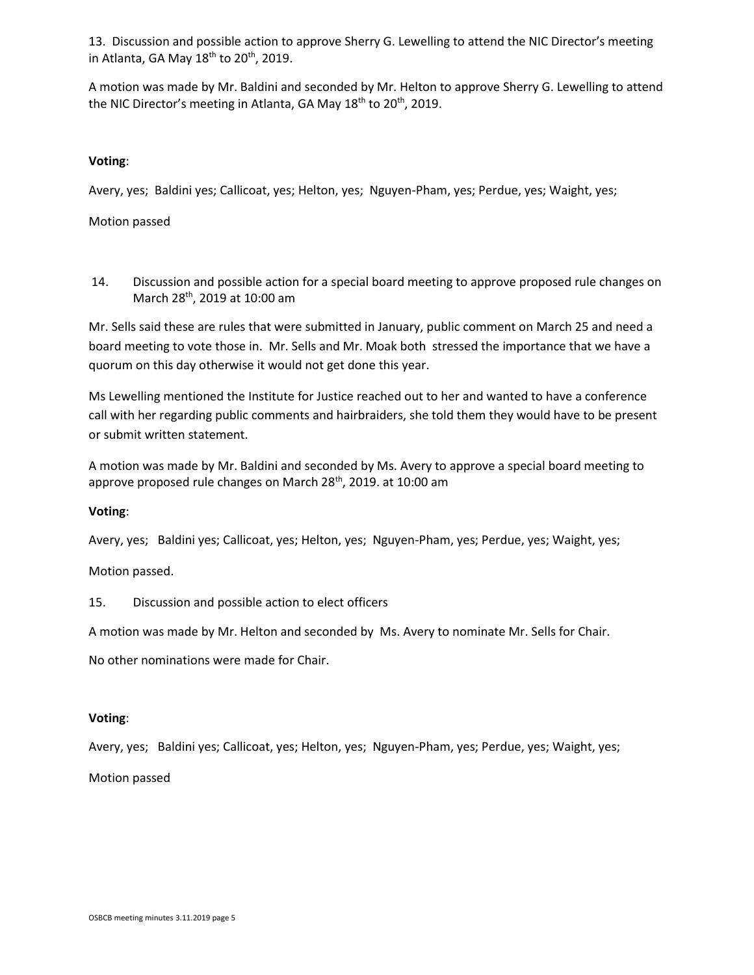13. Discussion and possible action to approve Sherry G. Lewelling to attend the NIC Director's meeting in Atlanta, GA May  $18^{th}$  to  $20^{th}$ , 2019.

A motion was made by Mr. Baldini and seconded by Mr. Helton to approve Sherry G. Lewelling to attend the NIC Director's meeting in Atlanta, GA May  $18<sup>th</sup>$  to  $20<sup>th</sup>$ , 2019.

## **Voting**:

Avery, yes; Baldini yes; Callicoat, yes; Helton, yes; Nguyen-Pham, yes; Perdue, yes; Waight, yes;

Motion passed

14. Discussion and possible action for a special board meeting to approve proposed rule changes on March 28th, 2019 at 10:00 am

Mr. Sells said these are rules that were submitted in January, public comment on March 25 and need a board meeting to vote those in. Mr. Sells and Mr. Moak both stressed the importance that we have a quorum on this day otherwise it would not get done this year.

Ms Lewelling mentioned the Institute for Justice reached out to her and wanted to have a conference call with her regarding public comments and hairbraiders, she told them they would have to be present or submit written statement.

A motion was made by Mr. Baldini and seconded by Ms. Avery to approve a special board meeting to approve proposed rule changes on March 28<sup>th</sup>, 2019. at 10:00 am

## **Voting**:

Avery, yes; Baldini yes; Callicoat, yes; Helton, yes; Nguyen-Pham, yes; Perdue, yes; Waight, yes;

Motion passed.

15. Discussion and possible action to elect officers

A motion was made by Mr. Helton and seconded by Ms. Avery to nominate Mr. Sells for Chair.

No other nominations were made for Chair.

## **Voting**:

Avery, yes; Baldini yes; Callicoat, yes; Helton, yes; Nguyen-Pham, yes; Perdue, yes; Waight, yes;

Motion passed